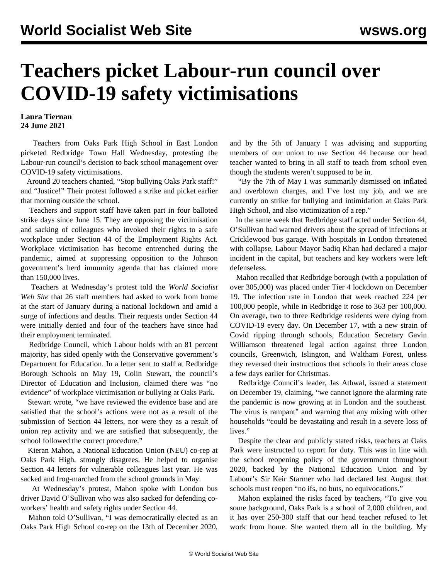## **Teachers picket Labour-run council over COVID-19 safety victimisations**

## **Laura Tiernan 24 June 2021**

 Teachers from Oaks Park High School in East London picketed Redbridge Town Hall Wednesday, protesting the Labour-run council's decision to back school management over COVID-19 safety victimisations.

 Around 20 teachers chanted, "Stop bullying Oaks Park staff!" and "Justice!" Their protest followed a strike and picket earlier that morning outside the school.

 Teachers and support staff have taken part in four balloted strike days since June 15. They are opposing the victimisation and sacking of colleagues who invoked their rights to a safe workplace under Section 44 of the Employment Rights Act. Workplace victimisation has become entrenched during the pandemic, aimed at suppressing opposition to the Johnson government's herd immunity agenda that has claimed more than 150,000 lives.

 Teachers at Wednesday's protest told the *World Socialist Web Site* that 26 staff members had asked to work from home at the start of January during a national lockdown and amid a surge of infections and deaths. Their requests under Section 44 were initially denied and four of the teachers have since had their employment terminated.

 Redbridge Council, which Labour holds with an 81 percent majority, has sided openly with the Conservative government's Department for Education. In a letter sent to staff at Redbridge Borough Schools on May 19, Colin Stewart, the council's Director of Education and Inclusion, claimed there was "no evidence" of workplace victimisation or bullying at Oaks Park.

 Stewart wrote, "we have reviewed the evidence base and are satisfied that the school's actions were not as a result of the submission of Section 44 letters, nor were they as a result of union rep activity and we are satisfied that subsequently, the school followed the correct procedure."

 Kieran Mahon, a National Education Union (NEU) co-rep at Oaks Park High, strongly disagrees. He helped to organise Section 44 letters for vulnerable colleagues last year. He was sacked and frog-marched from the school grounds in May.

 At Wednesday's protest, Mahon spoke with London bus driver [David O'Sullivan](/en/articles/2021/06/25/sull-j25.html) who was also sacked for defending coworkers' health and safety rights under Section 44.

 Mahon told O'Sullivan, "I was democratically elected as an Oaks Park High School co-rep on the 13th of December 2020, and by the 5th of January I was advising and supporting members of our union to use Section 44 because our head teacher wanted to bring in all staff to teach from school even though the students weren't supposed to be in.

 "By the 7th of May I was summarily dismissed on inflated and overblown charges, and I've lost my job, and we are currently on strike for bullying and intimidation at Oaks Park High School, and also victimization of a rep."

 In the same week that Redbridge staff acted under Section 44, O'Sullivan had warned drivers about the spread of infections at Cricklewood bus garage. With hospitals in London threatened with collapse, Labour Mayor Sadiq Khan had declared a major incident in the capital, but teachers and key workers were left defenseless.

 Mahon recalled that Redbridge borough (with a population of over 305,000) was placed under Tier 4 lockdown on December 19. The infection rate in London that week reached 224 per 100,000 people, while in Redbridge it rose to 363 per 100,000. On average, two to three Redbridge residents were dying from COVID-19 every day. On December 17, with a new strain of Covid ripping through schools, Education Secretary Gavin Williamson threatened legal action against three London councils, Greenwich, Islington, and Waltham Forest, unless they reversed their instructions that schools in their areas close a few days earlier for Christmas.

 Redbridge Council's leader, Jas Athwal, issued a statement on December 19, claiming, "we cannot ignore the alarming rate the pandemic is now growing at in London and the southeast. The virus is rampant" and warning that any mixing with other households "could be devastating and result in a severe loss of lives."

 Despite the clear and publicly stated risks, teachers at Oaks Park were instructed to report for duty. This was in line with the school reopening policy of the government throughout 2020, backed by the National Education Union and by Labour's Sir Keir Starmer who had declared last August that schools must reopen "no ifs, no buts, no equivocations."

 Mahon explained the risks faced by teachers, "To give you some background, Oaks Park is a school of 2,000 children, and it has over 250-300 staff that our head teacher refused to let work from home. She wanted them all in the building. My